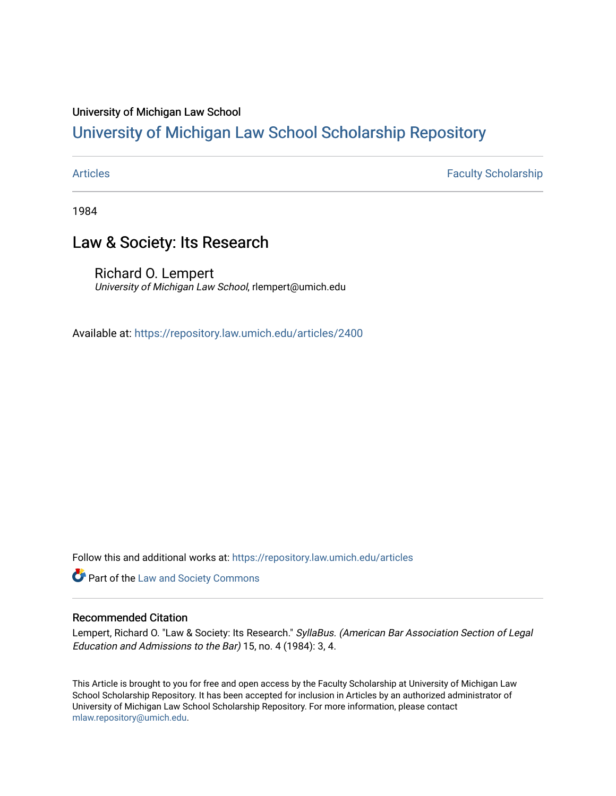### University of Michigan Law School

### [University of Michigan Law School Scholarship Repository](https://repository.law.umich.edu/)

[Articles](https://repository.law.umich.edu/articles) **Faculty Scholarship** Faculty Scholarship

1984

### Law & Society: Its Research

Richard O. Lempert University of Michigan Law School, rlempert@umich.edu

Available at: <https://repository.law.umich.edu/articles/2400>

Follow this and additional works at: [https://repository.law.umich.edu/articles](https://repository.law.umich.edu/articles?utm_source=repository.law.umich.edu%2Farticles%2F2400&utm_medium=PDF&utm_campaign=PDFCoverPages) 

**Part of the [Law and Society Commons](http://network.bepress.com/hgg/discipline/853?utm_source=repository.law.umich.edu%2Farticles%2F2400&utm_medium=PDF&utm_campaign=PDFCoverPages)** 

### Recommended Citation

Lempert, Richard O. "Law & Society: Its Research." SyllaBus. (American Bar Association Section of Legal Education and Admissions to the Bar) 15, no. 4 (1984): 3, 4.

This Article is brought to you for free and open access by the Faculty Scholarship at University of Michigan Law School Scholarship Repository. It has been accepted for inclusion in Articles by an authorized administrator of University of Michigan Law School Scholarship Repository. For more information, please contact [mlaw.repository@umich.edu.](mailto:mlaw.repository@umich.edu)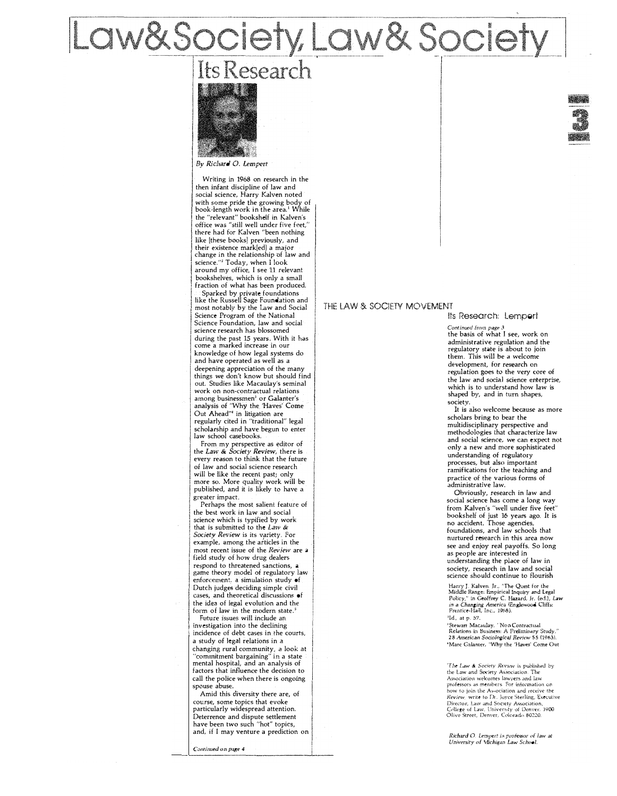# aw&Society, Law&Societ

## Its Research



By *Richard* 0. lempert

Writing in 1968 on research in the then infant discipline of law and social science, Harry Kalven noted with some pride the growing body of<br>book-length work in the area.<sup>1</sup> While the "relevant" bookshelf in Kalven's office was "still well under five feet," there had for Kalven "been nothing like [these books] previously, and their existence mark[ed] a major change in the relationship of law and science."<sup>2</sup> Today, when I look around my office, l see 11 relevant bookshelves, which is only a small fraction of what has been produced.

Sparked by private foundations like the Russell Sage Foundation and most notably by the Law and Social Science Program of the National Science Foundation, law and social science research has blossomed during the past 15 years. With it has come a marked increase in our knowledge of how legal systems do and have operated as well as a deepening appreciation of the many things we don't know but should find out. Studies like Macaulay's seminal work on non-contractual relations among businessmen<sup>3</sup> or Galanter's analysis of "Why the 'Haves' Come Out Ahead"' in litigation are regularly cited in "traditional" legal scholarship and have begun to enter law school casebooks.

From my perspective as editor of the *Law* & *Society Review,* there is every reason to think that the future of law and social science research will be like the recent past; only more so. More quality work will be published, and it is likely to have a greater impact.

Perhaps the most salient feature of the best work in law and social science which is typified by work that is submitted to the Law & Society Review is its variety. For example, among the afticles in the most recent issue of the *Review* are a field study of how drug dealers respond to threatened sanctions, a game theory model of regulatory **law**  enforcement, a simulation study of Dutch judges deciding simple civil cases, and theoretical discussions of the **idea** of **legal** evolution and the form of law in the modern state.'

Future issues will include an<br>investigation into the declining 1 investigation into the declining incidence of debt cases in the courts, a study of legal relations in a changing rural community, a look at "commitment bargaining" in a state mental hospital, and an analysis of factors that influence the decision to call the police when there is ongoing spouse abuse.

Amid this diversity there are, of course, some topics ihat evoke particularly widespread attention. Deterrence and dispute settlement have been two such "hot" topics, and, if l may venture a prediction on

*Continued* on *page 4* 

### THE LAW & SOCIETY MOVEMENT

### Its Research: Lampert

*Continued from page 3*  the basis of what I see, work on administrative regulation and the regulatory state is about to join them. This will be a welcome development, for research on regulation goes to the very core of the law and social science enterprise, which is to understand how law is shaped by, and in turn shapes, society.

It is also welcome because as more scholars bring to bear the multidisciplinary perspective and methodologies that characterize law and social science, we can expect not only a new and more sophisticated understanding of regulatory processes, but also important ramifications for the teaching and practice of the various forms of administrative law.

Obviously, research in law and social science has come a long way from Kalven's "well under five feet" bookshelf of just 16 years ago. It is no accident. Those agencies, foundations, and law schools that nurtured research in this area now see and enjoy real payoffs. So long as people are interested in understanding the place of law in society, research in law and social science should continue to flourish

Harry J. Kalven. Jr., "The Quest for the Middle Range: Empirical Inquiry and Legal<br>Policy," in Geoffrey C. Hazard. Jr. (ed.), Law<br>in a Changing America (Englewood Cliffs:<br>in a Changing America (Englewood Cliffs:

ild,, at p, 57.

-'Stewart Macaulay. *'-Non-Contrachial*  Relations in Business: *A* Preliminary Study," 28 *American Sociological Review* 55 (1963). **<sup>4</sup>**Marc Gafa,nter, *"Why* the 'Haves' Come Out

"The Law & Society Review is published by the Law and Society Association. The<br>Association welcomes lawyers and law<br>professors as members For information on<br>how to join the As-ociation and receive the<br>Review, write to Dr. Joyce Sterling, Executive<br>Director, Law an

Richard O. Lempert is professor of law at *University of* \1icbigan *Law School.*